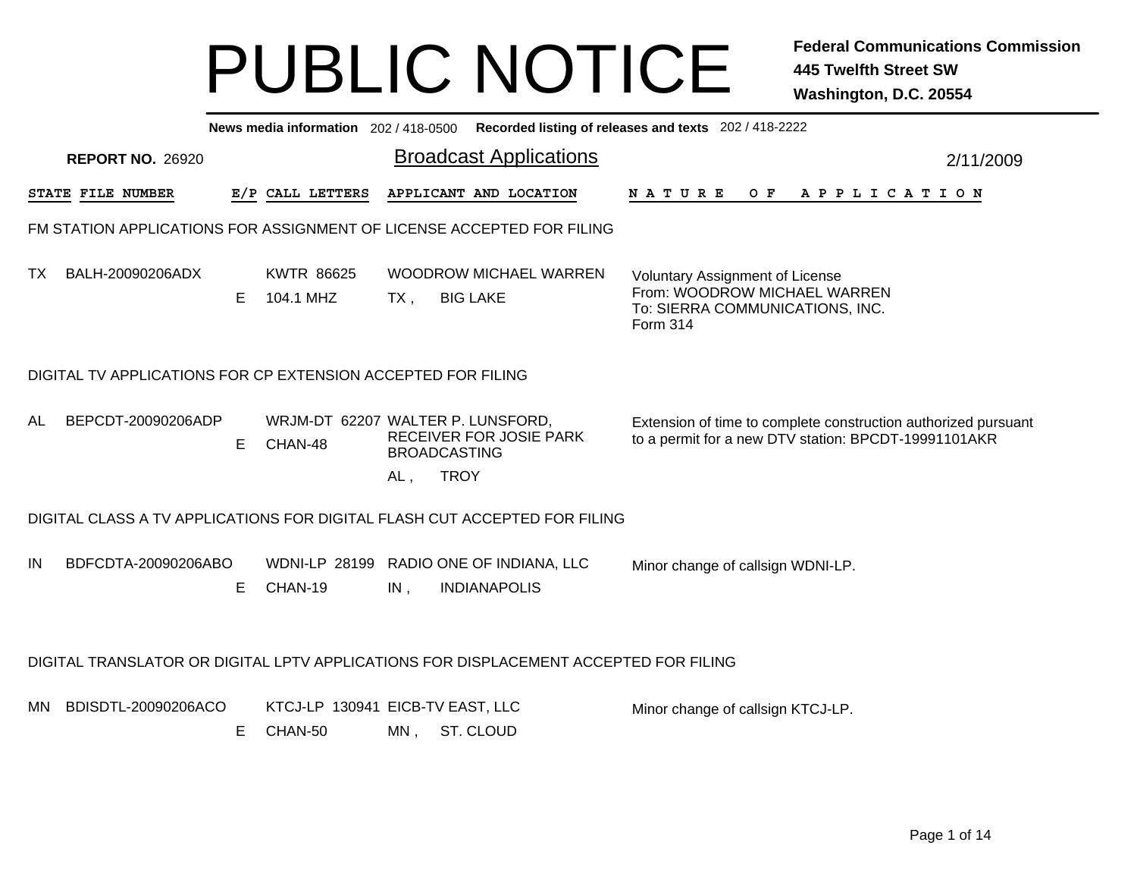|     |                                                                                      |   |                                              |                                           |                                                                | News media information 202 / 418-0500 Recorded listing of releases and texts 202 / 418-2222                            |           |
|-----|--------------------------------------------------------------------------------------|---|----------------------------------------------|-------------------------------------------|----------------------------------------------------------------|------------------------------------------------------------------------------------------------------------------------|-----------|
|     | <b>REPORT NO. 26920</b>                                                              |   |                                              |                                           | <b>Broadcast Applications</b>                                  |                                                                                                                        | 2/11/2009 |
|     | STATE FILE NUMBER                                                                    |   | E/P CALL LETTERS                             |                                           | APPLICANT AND LOCATION                                         | APPLICATION<br><b>NATURE</b><br>O F                                                                                    |           |
|     | FM STATION APPLICATIONS FOR ASSIGNMENT OF LICENSE ACCEPTED FOR FILING                |   |                                              |                                           |                                                                |                                                                                                                        |           |
| TX. | BALH-20090206ADX                                                                     | Е | <b>KWTR 86625</b><br>104.1 MHZ               | $TX$ ,                                    | <b>WOODROW MICHAEL WARREN</b><br><b>BIG LAKE</b>               | <b>Voluntary Assignment of License</b><br>From: WOODROW MICHAEL WARREN<br>To: SIERRA COMMUNICATIONS, INC.<br>Form 314  |           |
|     | DIGITAL TV APPLICATIONS FOR CP EXTENSION ACCEPTED FOR FILING                         |   |                                              |                                           |                                                                |                                                                                                                        |           |
| AL  | BEPCDT-20090206ADP                                                                   | Е | WRJM-DT 62207 WALTER P. LUNSFORD,<br>CHAN-48 | <b>BROADCASTING</b><br><b>TROY</b><br>AL, | RECEIVER FOR JOSIE PARK                                        | Extension of time to complete construction authorized pursuant<br>to a permit for a new DTV station: BPCDT-19991101AKR |           |
|     | DIGITAL CLASS A TV APPLICATIONS FOR DIGITAL FLASH CUT ACCEPTED FOR FILING            |   |                                              |                                           |                                                                |                                                                                                                        |           |
| IN  | BDFCDTA-20090206ABO                                                                  | Е | CHAN-19                                      | IN,                                       | WDNI-LP 28199 RADIO ONE OF INDIANA, LLC<br><b>INDIANAPOLIS</b> | Minor change of callsign WDNI-LP.                                                                                      |           |
|     | DIGITAL TRANSLATOR OR DIGITAL LPTV APPLICATIONS FOR DISPLACEMENT ACCEPTED FOR FILING |   |                                              |                                           |                                                                |                                                                                                                        |           |
| MN. | BDISDTL-20090206ACO                                                                  | Е | KTCJ-LP 130941 EICB-TV EAST, LLC<br>CHAN-50  | MN,                                       | ST. CLOUD                                                      | Minor change of callsign KTCJ-LP.                                                                                      |           |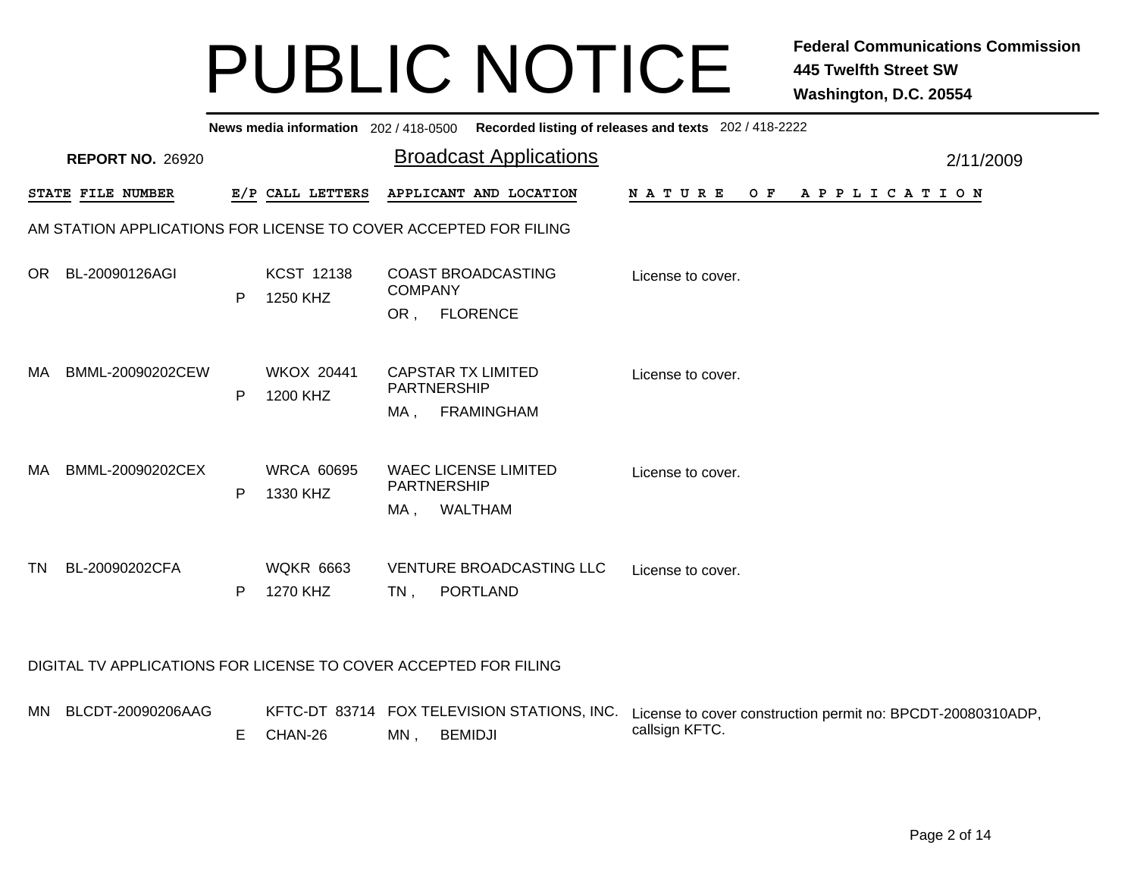| News media information 202/418-0500 Recorded listing of releases and texts 202/418-2222 |                         |   |                               |                           |                                               |                   |     |                       |           |  |  |  |
|-----------------------------------------------------------------------------------------|-------------------------|---|-------------------------------|---------------------------|-----------------------------------------------|-------------------|-----|-----------------------|-----------|--|--|--|
|                                                                                         | <b>REPORT NO. 26920</b> |   |                               |                           | <b>Broadcast Applications</b>                 |                   |     |                       | 2/11/2009 |  |  |  |
|                                                                                         | STATE FILE NUMBER       |   | E/P CALL LETTERS              |                           | APPLICANT AND LOCATION                        | <b>NATURE</b>     | O F | A P P L I C A T I O N |           |  |  |  |
| AM STATION APPLICATIONS FOR LICENSE TO COVER ACCEPTED FOR FILING                        |                         |   |                               |                           |                                               |                   |     |                       |           |  |  |  |
| OR.                                                                                     | BL-20090126AGI          | P | <b>KCST 12138</b><br>1250 KHZ | <b>COMPANY</b><br>OR,     | <b>COAST BROADCASTING</b><br><b>FLORENCE</b>  | License to cover. |     |                       |           |  |  |  |
| MA.                                                                                     | BMML-20090202CEW        | P | <b>WKOX 20441</b><br>1200 KHZ | <b>PARTNERSHIP</b><br>MA, | <b>CAPSTAR TX LIMITED</b><br>FRAMINGHAM       | License to cover. |     |                       |           |  |  |  |
| MA.                                                                                     | BMML-20090202CEX        | P | <b>WRCA 60695</b><br>1330 KHZ | <b>PARTNERSHIP</b><br>MA, | <b>WAEC LICENSE LIMITED</b><br><b>WALTHAM</b> | License to cover. |     |                       |           |  |  |  |
| TN                                                                                      | BL-20090202CFA          | P | <b>WQKR 6663</b><br>1270 KHZ  | $TN$ ,                    | <b>VENTURE BROADCASTING LLC</b><br>PORTLAND   | License to cover. |     |                       |           |  |  |  |

#### DIGITAL TV APPLICATIONS FOR LICENSE TO COVER ACCEPTED FOR FILING

| MN BLCDT-20090206AAG |           |    |         | KFTC-DT 83714 FOX TELEVISION STATIONS, INC. License to cover construction permit no: BPCDT-20080310ADP. |
|----------------------|-----------|----|---------|---------------------------------------------------------------------------------------------------------|
|                      | E CHAN-26 | MN | BEMIDJI | callsign KFTC.                                                                                          |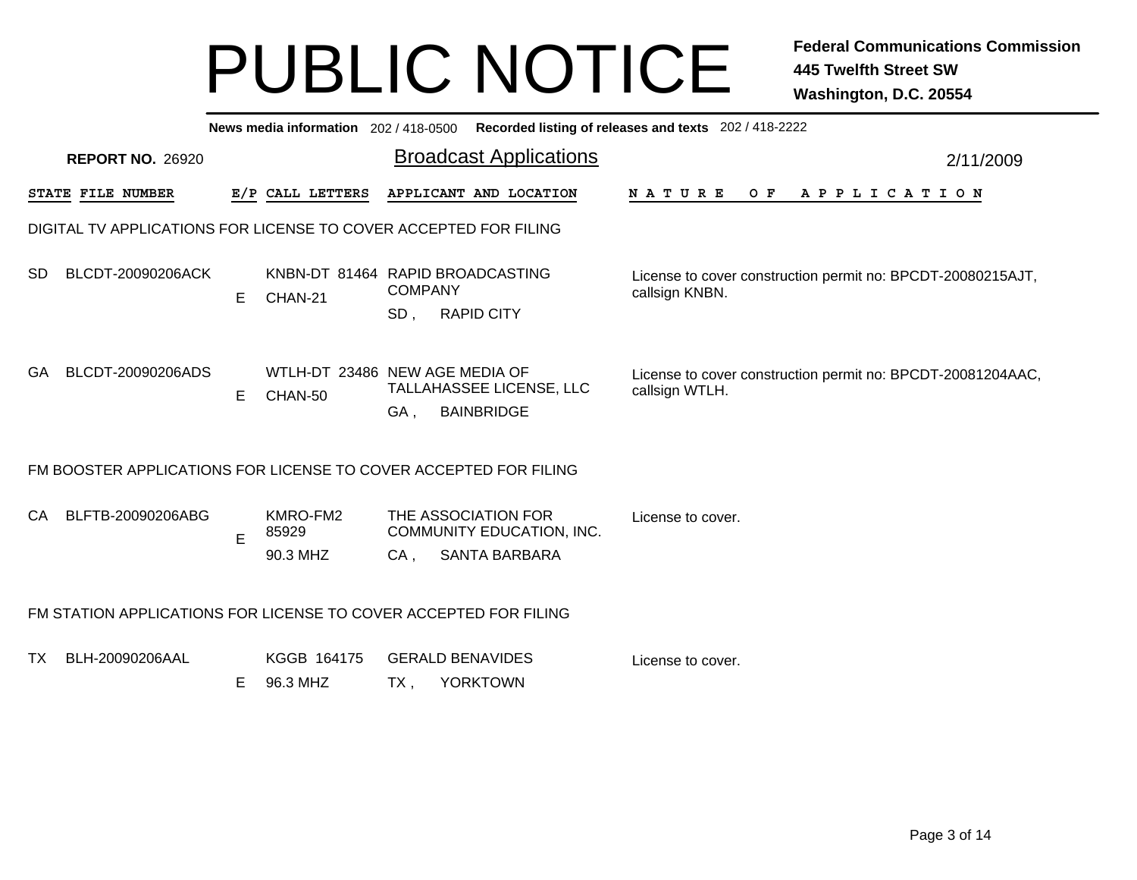|                                                                  | <b>News media information</b> 202/418-0500 Recorded listing of releases and texts 202/418-2222 |    |                                             |                       |                                                                   |                                                                               |           |  |  |  |  |  |  |
|------------------------------------------------------------------|------------------------------------------------------------------------------------------------|----|---------------------------------------------|-----------------------|-------------------------------------------------------------------|-------------------------------------------------------------------------------|-----------|--|--|--|--|--|--|
|                                                                  | <b>REPORT NO. 26920</b>                                                                        |    |                                             |                       | <b>Broadcast Applications</b>                                     |                                                                               | 2/11/2009 |  |  |  |  |  |  |
|                                                                  | STATE FILE NUMBER                                                                              |    | E/P CALL LETTERS                            |                       | APPLICANT AND LOCATION                                            | A P P L I C A T I O N<br><b>NATURE</b><br>O F                                 |           |  |  |  |  |  |  |
| DIGITAL TV APPLICATIONS FOR LICENSE TO COVER ACCEPTED FOR FILING |                                                                                                |    |                                             |                       |                                                                   |                                                                               |           |  |  |  |  |  |  |
| SD.                                                              | BLCDT-20090206ACK                                                                              | E. | KNBN-DT 81464 RAPID BROADCASTING<br>CHAN-21 | <b>COMPANY</b><br>SD, | <b>RAPID CITY</b>                                                 | License to cover construction permit no: BPCDT-20080215AJT,<br>callsign KNBN. |           |  |  |  |  |  |  |
| <b>GA</b>                                                        | BLCDT-20090206ADS                                                                              | E. | WTLH-DT 23486 NEW AGE MEDIA OF<br>CHAN-50   | GA,                   | TALLAHASSEE LICENSE, LLC<br><b>BAINBRIDGE</b>                     | License to cover construction permit no: BPCDT-20081204AAC,<br>callsign WTLH. |           |  |  |  |  |  |  |
|                                                                  | FM BOOSTER APPLICATIONS FOR LICENSE TO COVER ACCEPTED FOR FILING                               |    |                                             |                       |                                                                   |                                                                               |           |  |  |  |  |  |  |
| CA                                                               | BLFTB-20090206ABG                                                                              | Е  | KMRO-FM2<br>85929<br>90.3 MHZ               | CA.                   | THE ASSOCIATION FOR<br>COMMUNITY EDUCATION, INC.<br>SANTA BARBARA | License to cover.                                                             |           |  |  |  |  |  |  |
|                                                                  | FM STATION APPLICATIONS FOR LICENSE TO COVER ACCEPTED FOR FILING                               |    |                                             |                       |                                                                   |                                                                               |           |  |  |  |  |  |  |
| TX                                                               | BLH-20090206AAL                                                                                | E. | KGGB 164175<br>96.3 MHZ                     | TX,                   | <b>GERALD BENAVIDES</b><br><b>YORKTOWN</b>                        | License to cover.                                                             |           |  |  |  |  |  |  |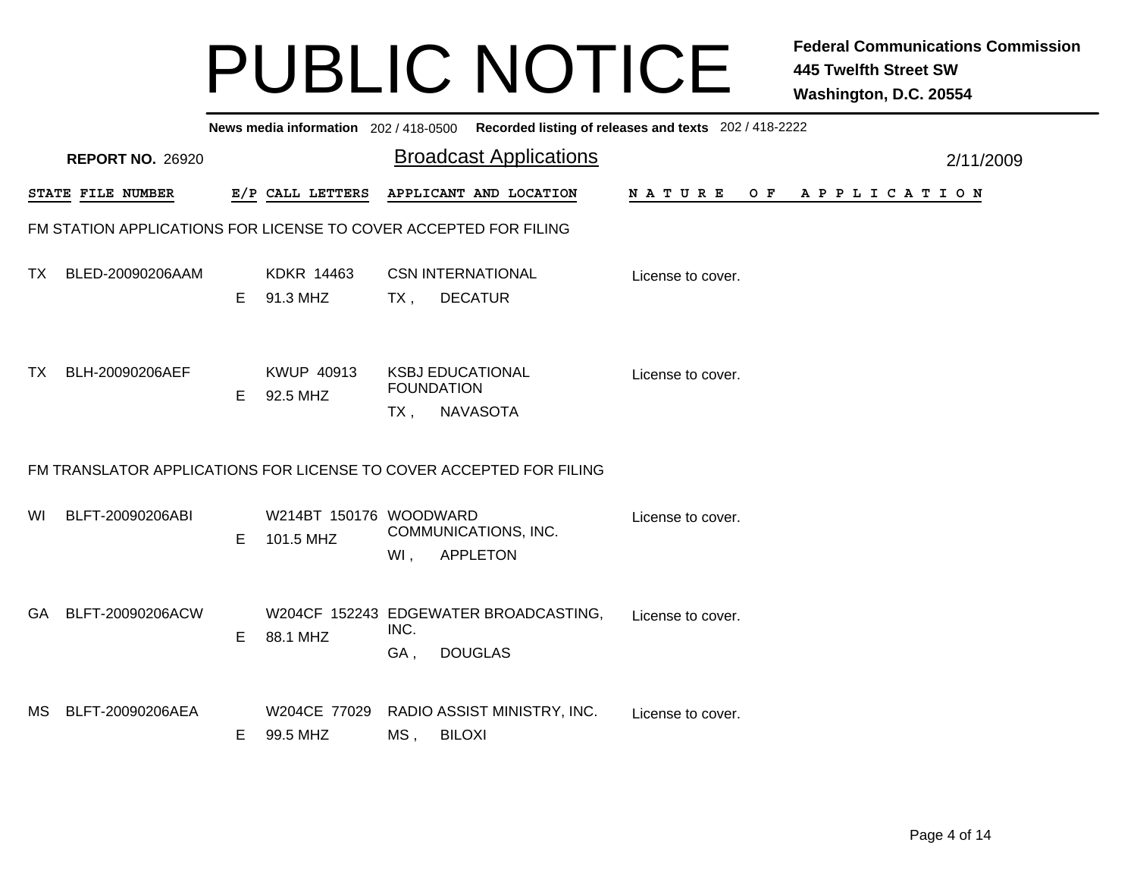|     | News media information 202/418-0500 Recorded listing of releases and texts 202/418-2222 |    |                                     |             |                                                                     |                   |  |  |  |  |         |  |                       |  |  |  |           |  |
|-----|-----------------------------------------------------------------------------------------|----|-------------------------------------|-------------|---------------------------------------------------------------------|-------------------|--|--|--|--|---------|--|-----------------------|--|--|--|-----------|--|
|     | <b>REPORT NO. 26920</b>                                                                 |    |                                     |             | <b>Broadcast Applications</b>                                       |                   |  |  |  |  |         |  |                       |  |  |  | 2/11/2009 |  |
|     | STATE FILE NUMBER                                                                       |    | E/P CALL LETTERS                    |             | APPLICANT AND LOCATION                                              | N A T U R E       |  |  |  |  | $O$ $F$ |  | A P P L I C A T I O N |  |  |  |           |  |
|     | FM STATION APPLICATIONS FOR LICENSE TO COVER ACCEPTED FOR FILING                        |    |                                     |             |                                                                     |                   |  |  |  |  |         |  |                       |  |  |  |           |  |
| TX. | BLED-20090206AAM                                                                        | E. | KDKR 14463<br>91.3 MHZ              | TX.         | <b>CSN INTERNATIONAL</b><br><b>DECATUR</b>                          | License to cover. |  |  |  |  |         |  |                       |  |  |  |           |  |
| TX. | BLH-20090206AEF                                                                         | E. | KWUP 40913<br>92.5 MHZ              | $TX$ ,      | <b>KSBJ EDUCATIONAL</b><br><b>FOUNDATION</b><br><b>NAVASOTA</b>     | License to cover. |  |  |  |  |         |  |                       |  |  |  |           |  |
|     |                                                                                         |    |                                     |             | FM TRANSLATOR APPLICATIONS FOR LICENSE TO COVER ACCEPTED FOR FILING |                   |  |  |  |  |         |  |                       |  |  |  |           |  |
| WI  | BLFT-20090206ABI                                                                        | E. | W214BT 150176 WOODWARD<br>101.5 MHZ | $WI$ ,      | COMMUNICATIONS, INC.<br><b>APPLETON</b>                             | License to cover. |  |  |  |  |         |  |                       |  |  |  |           |  |
| GA  | BLFT-20090206ACW                                                                        | E  | 88.1 MHZ                            | INC.<br>GA, | W204CF 152243 EDGEWATER BROADCASTING,<br><b>DOUGLAS</b>             | License to cover. |  |  |  |  |         |  |                       |  |  |  |           |  |
| MS. | BLFT-20090206AEA                                                                        | E. | W204CE 77029<br>99.5 MHZ            | $MS$ ,      | RADIO ASSIST MINISTRY, INC.<br><b>BILOXI</b>                        | License to cover. |  |  |  |  |         |  |                       |  |  |  |           |  |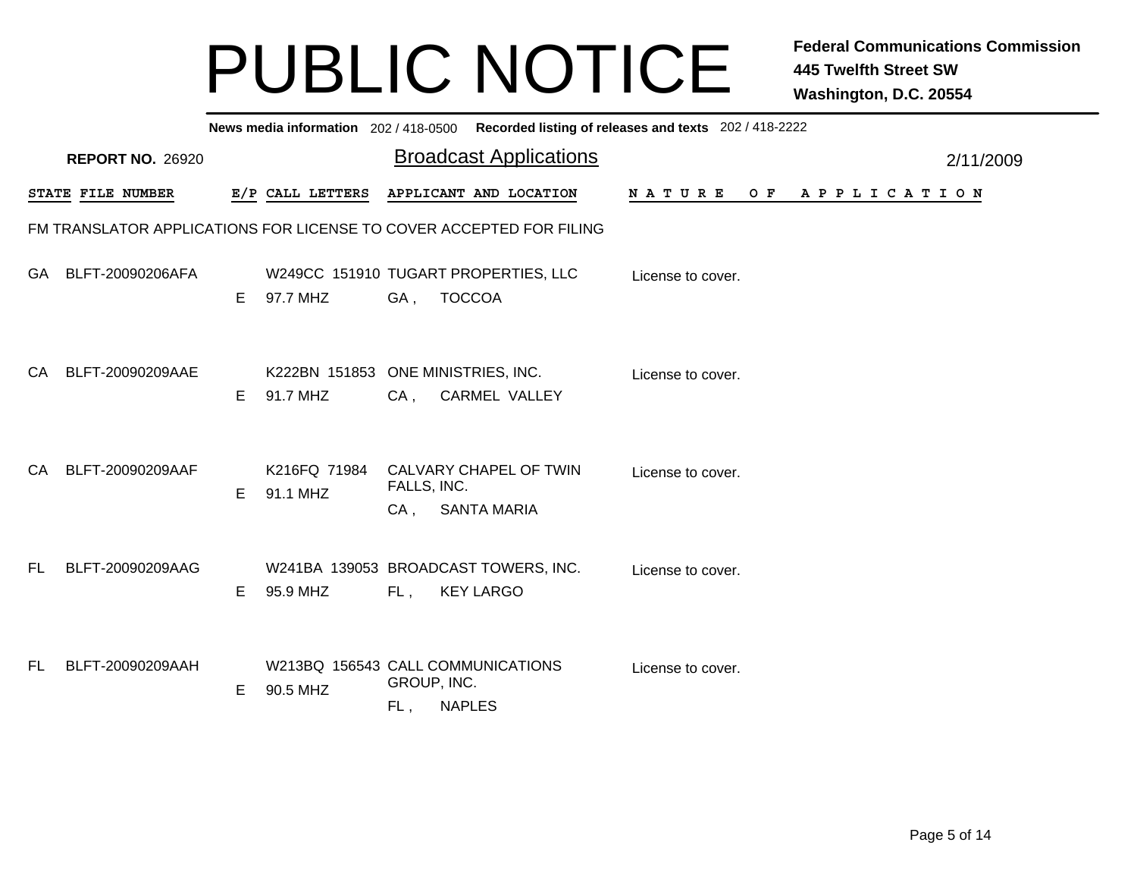| News media information 202/418-0500 Recorded listing of releases and texts 202/418-2222 |                                                                     |    |                                                  |                                |                                                          |                       |  |  |  |  |  |           |  |
|-----------------------------------------------------------------------------------------|---------------------------------------------------------------------|----|--------------------------------------------------|--------------------------------|----------------------------------------------------------|-----------------------|--|--|--|--|--|-----------|--|
|                                                                                         | <b>REPORT NO. 26920</b>                                             |    |                                                  | <b>Broadcast Applications</b>  |                                                          |                       |  |  |  |  |  | 2/11/2009 |  |
|                                                                                         | STATE FILE NUMBER                                                   |    | E/P CALL LETTERS                                 |                                | APPLICANT AND LOCATION                                   | NATURE OF APPLICATION |  |  |  |  |  |           |  |
|                                                                                         | FM TRANSLATOR APPLICATIONS FOR LICENSE TO COVER ACCEPTED FOR FILING |    |                                                  |                                |                                                          |                       |  |  |  |  |  |           |  |
| <b>GA</b>                                                                               | BLFT-20090206AFA                                                    | E  | W249CC 151910 TUGART PROPERTIES, LLC<br>97.7 MHZ | GA, TOCCOA                     |                                                          | License to cover.     |  |  |  |  |  |           |  |
| CA .                                                                                    | BLFT-20090209AAE                                                    | E. | K222BN 151853 ONE MINISTRIES, INC.<br>91.7 MHZ   | CA,                            | <b>CARMEL VALLEY</b>                                     | License to cover.     |  |  |  |  |  |           |  |
| CA.                                                                                     | BLFT-20090209AAF                                                    | E. | K216FQ 71984<br>91.1 MHZ                         | FALLS, INC.<br>CA, SANTA MARIA | CALVARY CHAPEL OF TWIN                                   | License to cover.     |  |  |  |  |  |           |  |
| FL.                                                                                     | BLFT-20090209AAG                                                    | E  | 95.9 MHZ                                         | FL,                            | W241BA 139053 BROADCAST TOWERS, INC.<br><b>KEY LARGO</b> | License to cover.     |  |  |  |  |  |           |  |
| FL.                                                                                     | BLFT-20090209AAH                                                    | E  | W213BQ 156543 CALL COMMUNICATIONS<br>90.5 MHZ    | GROUP, INC.<br>FL,             | <b>NAPLES</b>                                            | License to cover.     |  |  |  |  |  |           |  |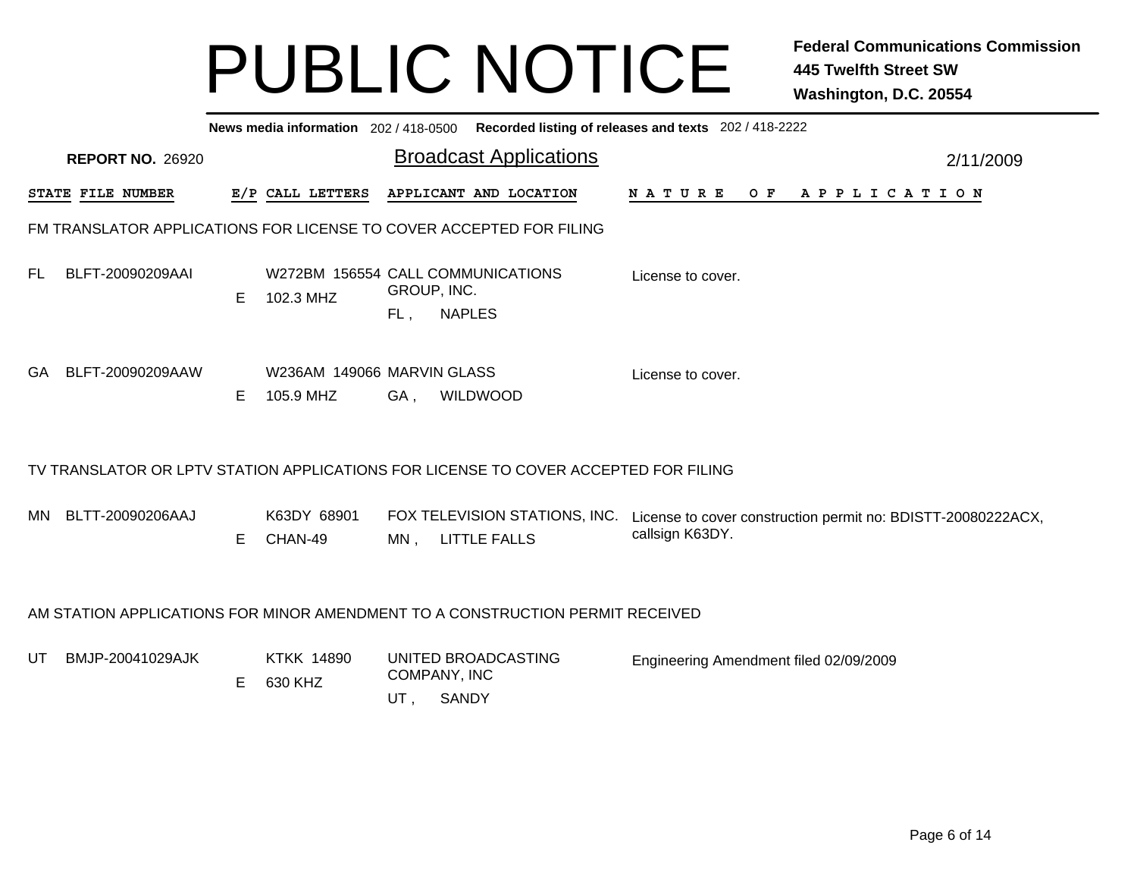|                                                                                    | News media information 202 / 418-0500 Recorded listing of releases and texts 202 / 418-2222 |   |                                                |                     |                                                                                     |                                                                                 |  |  |  |  |  |  |  |
|------------------------------------------------------------------------------------|---------------------------------------------------------------------------------------------|---|------------------------------------------------|---------------------|-------------------------------------------------------------------------------------|---------------------------------------------------------------------------------|--|--|--|--|--|--|--|
| <b>Broadcast Applications</b><br><b>REPORT NO. 26920</b><br>APPLICANT AND LOCATION |                                                                                             |   |                                                |                     |                                                                                     |                                                                                 |  |  |  |  |  |  |  |
|                                                                                    | STATE FILE NUMBER                                                                           |   | E/P CALL LETTERS                               |                     |                                                                                     | <b>NATURE</b><br>OF APPLICATION                                                 |  |  |  |  |  |  |  |
|                                                                                    | FM TRANSLATOR APPLICATIONS FOR LICENSE TO COVER ACCEPTED FOR FILING                         |   |                                                |                     |                                                                                     |                                                                                 |  |  |  |  |  |  |  |
| FL.                                                                                | BLFT-20090209AAI                                                                            | Е | W272BM 156554 CALL COMMUNICATIONS<br>102.3 MHZ | GROUP, INC.<br>FL,  | <b>NAPLES</b>                                                                       | License to cover.                                                               |  |  |  |  |  |  |  |
| GA                                                                                 | BLFT-20090209AAW                                                                            | Е | W236AM 149066 MARVIN GLASS<br>105.9 MHZ        | GA,                 | <b>WILDWOOD</b>                                                                     | License to cover.                                                               |  |  |  |  |  |  |  |
|                                                                                    |                                                                                             |   |                                                |                     | TV TRANSLATOR OR LPTV STATION APPLICATIONS FOR LICENSE TO COVER ACCEPTED FOR FILING |                                                                                 |  |  |  |  |  |  |  |
| MN -                                                                               | BLTT-20090206AAJ                                                                            | Е | K63DY 68901<br>CHAN-49                         | MN,                 | FOX TELEVISION STATIONS, INC.<br><b>LITTLE FALLS</b>                                | License to cover construction permit no: BDISTT-20080222ACX,<br>callsign K63DY. |  |  |  |  |  |  |  |
|                                                                                    |                                                                                             |   |                                                |                     | AM STATION APPLICATIONS FOR MINOR AMENDMENT TO A CONSTRUCTION PERMIT RECEIVED       |                                                                                 |  |  |  |  |  |  |  |
| UT                                                                                 | BMJP-20041029AJK                                                                            | Е | <b>KTKK 14890</b><br>630 KHZ                   | COMPANY, INC<br>UT, | UNITED BROADCASTING<br><b>SANDY</b>                                                 | Engineering Amendment filed 02/09/2009                                          |  |  |  |  |  |  |  |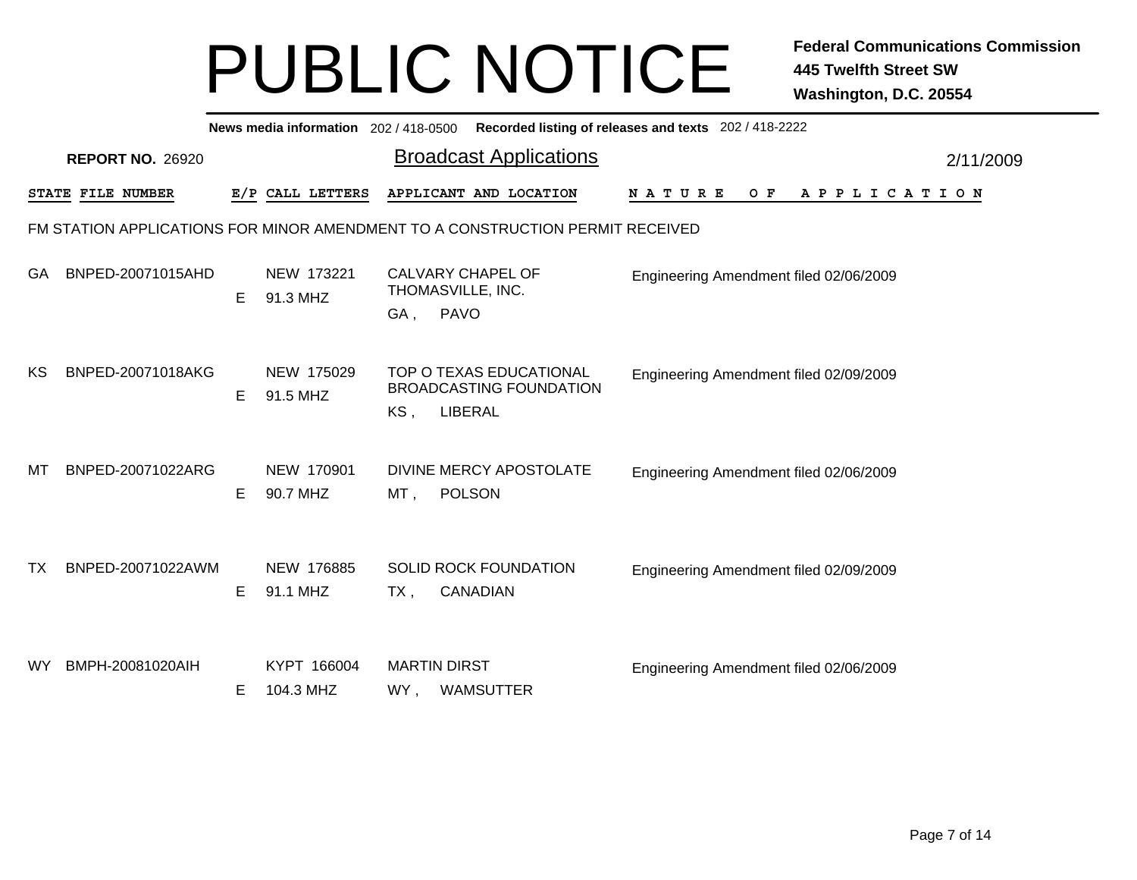|    | News media information 202 / 418-0500 Recorded listing of releases and texts 202 / 418-2222 |    |                          |                                                                                                                       |           |  |  |  |  |  |  |  |  |
|----|---------------------------------------------------------------------------------------------|----|--------------------------|-----------------------------------------------------------------------------------------------------------------------|-----------|--|--|--|--|--|--|--|--|
|    | <b>REPORT NO. 26920</b>                                                                     |    |                          | <b>Broadcast Applications</b>                                                                                         | 2/11/2009 |  |  |  |  |  |  |  |  |
|    | STATE FILE NUMBER                                                                           |    | E/P CALL LETTERS         | APPLICANT AND LOCATION<br><b>NATURE</b><br>O F<br>A P P L I C A T I O N                                               |           |  |  |  |  |  |  |  |  |
|    |                                                                                             |    |                          | FM STATION APPLICATIONS FOR MINOR AMENDMENT TO A CONSTRUCTION PERMIT RECEIVED                                         |           |  |  |  |  |  |  |  |  |
| GA | BNPED-20071015AHD                                                                           | Е  | NEW 173221<br>91.3 MHZ   | CALVARY CHAPEL OF<br>Engineering Amendment filed 02/06/2009<br>THOMASVILLE, INC.<br><b>PAVO</b><br>GA,                |           |  |  |  |  |  |  |  |  |
| КS | BNPED-20071018AKG                                                                           | Е  | NEW 175029<br>91.5 MHZ   | TOP O TEXAS EDUCATIONAL<br>Engineering Amendment filed 02/09/2009<br><b>BROADCASTING FOUNDATION</b><br>LIBERAL<br>KS, |           |  |  |  |  |  |  |  |  |
| МT | BNPED-20071022ARG                                                                           | E. | NEW 170901<br>90.7 MHZ   | DIVINE MERCY APOSTOLATE<br>Engineering Amendment filed 02/06/2009<br><b>POLSON</b><br>MT,                             |           |  |  |  |  |  |  |  |  |
| ТX | BNPED-20071022AWM                                                                           | Е  | NEW 176885<br>91.1 MHZ   | <b>SOLID ROCK FOUNDATION</b><br>Engineering Amendment filed 02/09/2009<br>CANADIAN<br>$TX$ ,                          |           |  |  |  |  |  |  |  |  |
| WY | BMPH-20081020AIH                                                                            | E. | KYPT 166004<br>104.3 MHZ | <b>MARTIN DIRST</b><br>Engineering Amendment filed 02/06/2009<br><b>WAMSUTTER</b><br>WY,                              |           |  |  |  |  |  |  |  |  |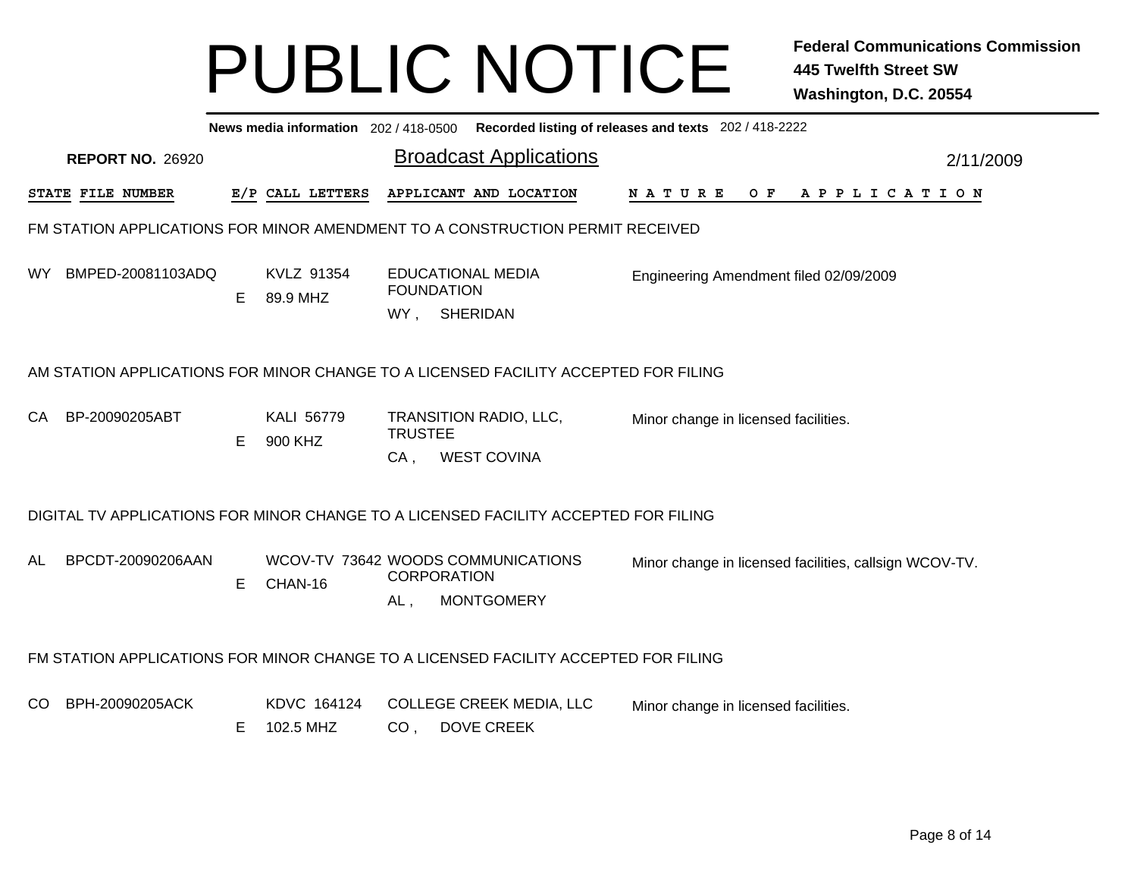|                                                                                                                | News media information 202 / 418-0500 Recorded listing of releases and texts 202 / 418-2222 |    |                          |                                                                                      |                                                        |  |  |  |  |  |  |  |  |
|----------------------------------------------------------------------------------------------------------------|---------------------------------------------------------------------------------------------|----|--------------------------|--------------------------------------------------------------------------------------|--------------------------------------------------------|--|--|--|--|--|--|--|--|
| <b>Broadcast Applications</b><br><b>REPORT NO. 26920</b><br>2/11/2009<br>E/P CALL LETTERS<br>STATE FILE NUMBER |                                                                                             |    |                          |                                                                                      |                                                        |  |  |  |  |  |  |  |  |
|                                                                                                                |                                                                                             |    |                          | APPLICANT AND LOCATION                                                               | NATURE<br>OF APPLICATION                               |  |  |  |  |  |  |  |  |
|                                                                                                                |                                                                                             |    |                          | FM STATION APPLICATIONS FOR MINOR AMENDMENT TO A CONSTRUCTION PERMIT RECEIVED        |                                                        |  |  |  |  |  |  |  |  |
| WY                                                                                                             | BMPED-20081103ADQ                                                                           | E. | KVLZ 91354<br>89.9 MHZ   | <b>EDUCATIONAL MEDIA</b><br><b>FOUNDATION</b><br>WY, SHERIDAN                        | Engineering Amendment filed 02/09/2009                 |  |  |  |  |  |  |  |  |
|                                                                                                                |                                                                                             |    |                          | AM STATION APPLICATIONS FOR MINOR CHANGE TO A LICENSED FACILITY ACCEPTED FOR FILING  |                                                        |  |  |  |  |  |  |  |  |
| CA                                                                                                             | BP-20090205ABT                                                                              | Е  | KALI 56779<br>900 KHZ    | TRANSITION RADIO, LLC,<br><b>TRUSTEE</b><br><b>WEST COVINA</b><br>CA,                | Minor change in licensed facilities.                   |  |  |  |  |  |  |  |  |
|                                                                                                                |                                                                                             |    |                          | DIGITAL TV APPLICATIONS FOR MINOR CHANGE TO A LICENSED FACILITY ACCEPTED FOR FILING  |                                                        |  |  |  |  |  |  |  |  |
| AL                                                                                                             | BPCDT-20090206AAN                                                                           | E  | CHAN-16                  | WCOV-TV 73642 WOODS COMMUNICATIONS<br><b>CORPORATION</b><br><b>MONTGOMERY</b><br>AL, | Minor change in licensed facilities, callsign WCOV-TV. |  |  |  |  |  |  |  |  |
|                                                                                                                |                                                                                             |    |                          | FM STATION APPLICATIONS FOR MINOR CHANGE TO A LICENSED FACILITY ACCEPTED FOR FILING  |                                                        |  |  |  |  |  |  |  |  |
| CO                                                                                                             | BPH-20090205ACK                                                                             | Е  | KDVC 164124<br>102.5 MHZ | <b>COLLEGE CREEK MEDIA, LLC</b><br><b>DOVE CREEK</b><br>CO <sub>1</sub>              | Minor change in licensed facilities.                   |  |  |  |  |  |  |  |  |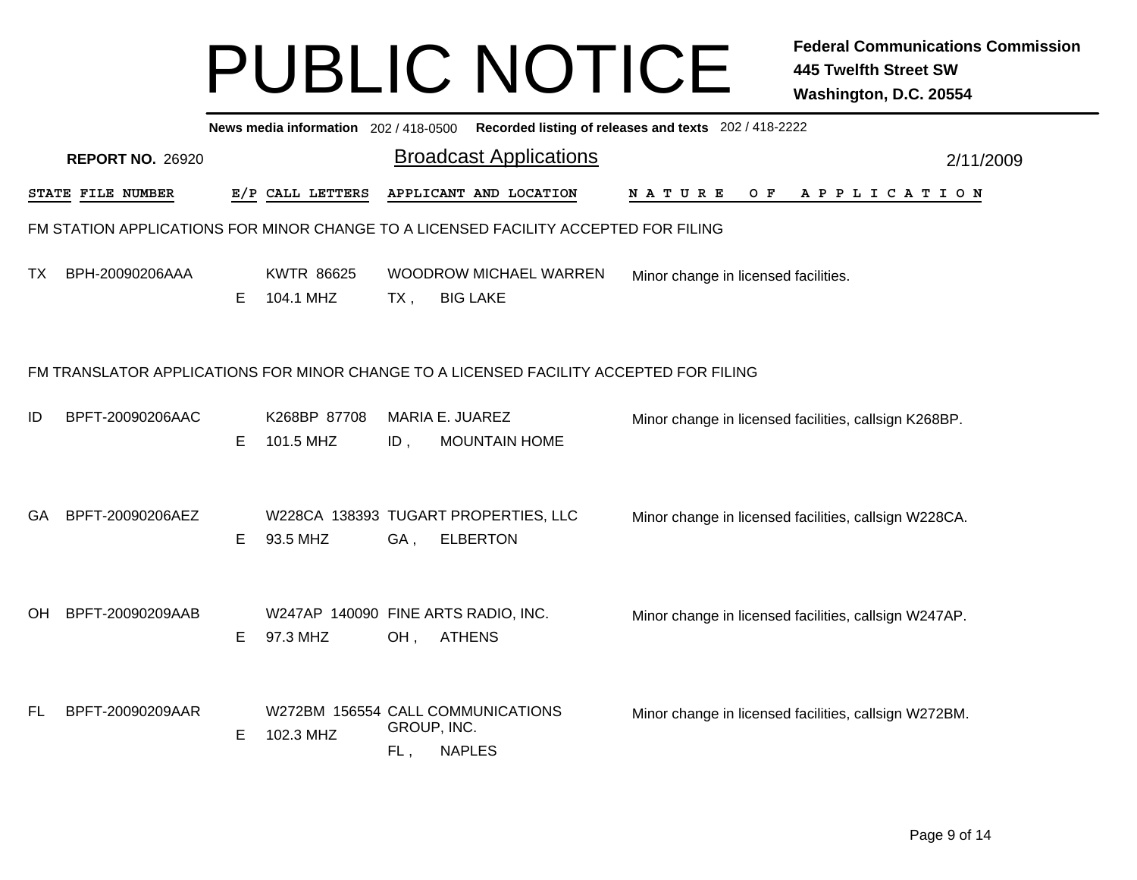|           | News media information 202 / 418-0500 Recorded listing of releases and texts 202 / 418-2222 |    |                                                 |        |                                                                                     |                                                       |  |  |  |  |     |  |  |  |                       |  |  |           |  |
|-----------|---------------------------------------------------------------------------------------------|----|-------------------------------------------------|--------|-------------------------------------------------------------------------------------|-------------------------------------------------------|--|--|--|--|-----|--|--|--|-----------------------|--|--|-----------|--|
|           | <b>REPORT NO. 26920</b>                                                                     |    |                                                 |        | <b>Broadcast Applications</b>                                                       |                                                       |  |  |  |  |     |  |  |  |                       |  |  | 2/11/2009 |  |
|           | STATE FILE NUMBER                                                                           |    | E/P CALL LETTERS                                |        | APPLICANT AND LOCATION                                                              | N A T U R E                                           |  |  |  |  | O F |  |  |  | A P P L I C A T I O N |  |  |           |  |
|           |                                                                                             |    |                                                 |        | FM STATION APPLICATIONS FOR MINOR CHANGE TO A LICENSED FACILITY ACCEPTED FOR FILING |                                                       |  |  |  |  |     |  |  |  |                       |  |  |           |  |
| ТX        | BPH-20090206AAA                                                                             | Е  | <b>KWTR 86625</b><br>104.1 MHZ                  | $TX$ , | <b>WOODROW MICHAEL WARREN</b><br><b>BIG LAKE</b>                                    | Minor change in licensed facilities.                  |  |  |  |  |     |  |  |  |                       |  |  |           |  |
|           | FM TRANSLATOR APPLICATIONS FOR MINOR CHANGE TO A LICENSED FACILITY ACCEPTED FOR FILING      |    |                                                 |        |                                                                                     |                                                       |  |  |  |  |     |  |  |  |                       |  |  |           |  |
| ID        | BPFT-20090206AAC                                                                            | E. | K268BP 87708<br>101.5 MHZ                       | $ID$ , | MARIA E. JUAREZ<br><b>MOUNTAIN HOME</b>                                             | Minor change in licensed facilities, callsign K268BP. |  |  |  |  |     |  |  |  |                       |  |  |           |  |
| GA        | BPFT-20090206AEZ                                                                            | Е  | 93.5 MHZ                                        | GA,    | W228CA 138393 TUGART PROPERTIES, LLC<br><b>ELBERTON</b>                             | Minor change in licensed facilities, callsign W228CA. |  |  |  |  |     |  |  |  |                       |  |  |           |  |
| <b>OH</b> | BPFT-20090209AAB                                                                            | Е  | W247AP 140090 FINE ARTS RADIO, INC.<br>97.3 MHZ | OH,    | <b>ATHENS</b>                                                                       | Minor change in licensed facilities, callsign W247AP. |  |  |  |  |     |  |  |  |                       |  |  |           |  |
| FL        | BPFT-20090209AAR                                                                            | Е  | 102.3 MHZ                                       | FL,    | W272BM 156554 CALL COMMUNICATIONS<br>GROUP, INC.<br><b>NAPLES</b>                   | Minor change in licensed facilities, callsign W272BM. |  |  |  |  |     |  |  |  |                       |  |  |           |  |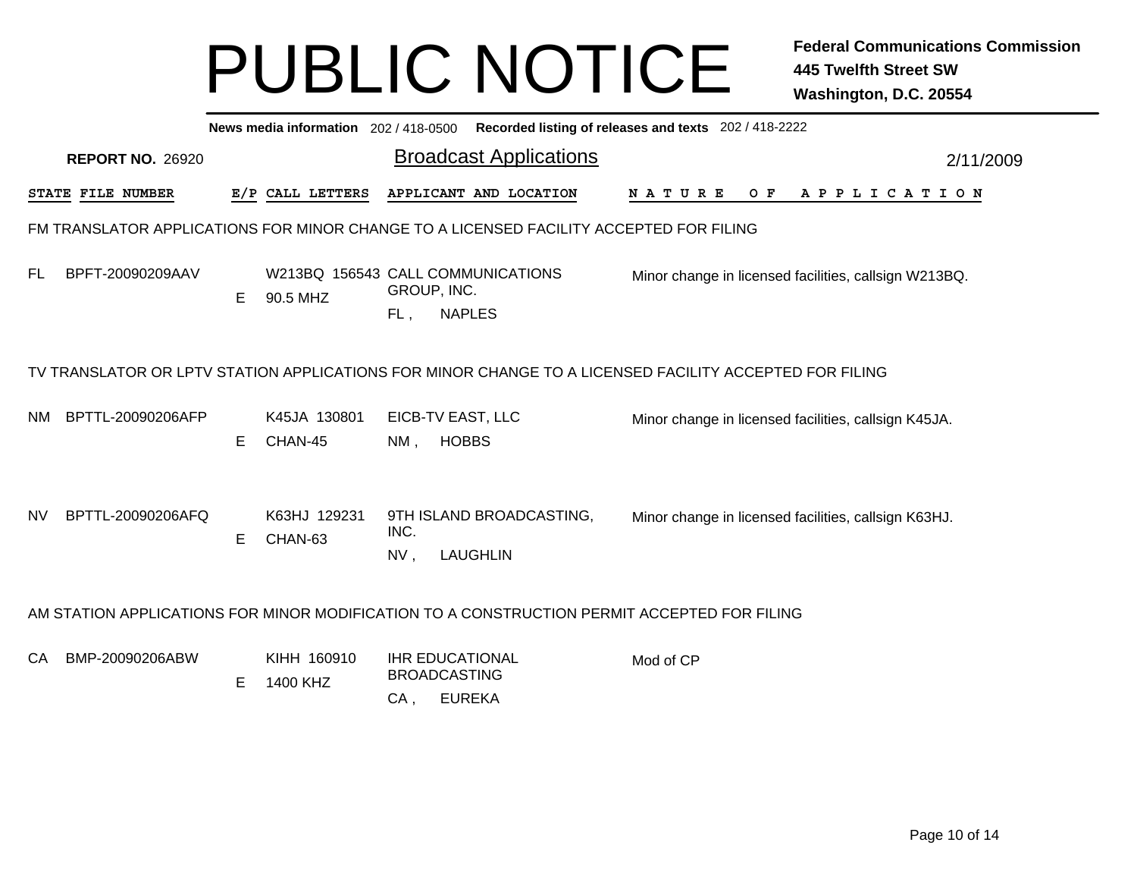|           | Recorded listing of releases and texts 202 / 418-2222<br>News media information 202 / 418-0500 |   |                         |                    |                                                                                                        |             |     |                                                       |           |  |  |  |  |
|-----------|------------------------------------------------------------------------------------------------|---|-------------------------|--------------------|--------------------------------------------------------------------------------------------------------|-------------|-----|-------------------------------------------------------|-----------|--|--|--|--|
|           | <b>REPORT NO. 26920</b>                                                                        |   |                         |                    | <b>Broadcast Applications</b>                                                                          |             |     |                                                       | 2/11/2009 |  |  |  |  |
|           | STATE FILE NUMBER                                                                              |   | E/P CALL LETTERS        |                    | APPLICANT AND LOCATION                                                                                 | N A T U R E | O F | A P P L I C A T I O N                                 |           |  |  |  |  |
|           |                                                                                                |   |                         |                    | FM TRANSLATOR APPLICATIONS FOR MINOR CHANGE TO A LICENSED FACILITY ACCEPTED FOR FILING                 |             |     |                                                       |           |  |  |  |  |
| FL.       | BPFT-20090209AAV                                                                               | Е | 90.5 MHZ                | GROUP, INC.<br>FL, | W213BQ 156543 CALL COMMUNICATIONS<br><b>NAPLES</b>                                                     |             |     | Minor change in licensed facilities, callsign W213BQ. |           |  |  |  |  |
|           |                                                                                                |   |                         |                    | TV TRANSLATOR OR LPTV STATION APPLICATIONS FOR MINOR CHANGE TO A LICENSED FACILITY ACCEPTED FOR FILING |             |     |                                                       |           |  |  |  |  |
| NM        | BPTTL-20090206AFP                                                                              | Е | K45JA 130801<br>CHAN-45 | $NM$ ,             | EICB-TV EAST, LLC<br><b>HOBBS</b>                                                                      |             |     | Minor change in licensed facilities, callsign K45JA.  |           |  |  |  |  |
| <b>NV</b> | BPTTL-20090206AFQ                                                                              | Е | K63HJ 129231<br>CHAN-63 | INC.<br>NV,        | 9TH ISLAND BROADCASTING,<br><b>LAUGHLIN</b>                                                            |             |     | Minor change in licensed facilities, callsign K63HJ.  |           |  |  |  |  |
|           |                                                                                                |   |                         |                    | AM STATION APPLICATIONS FOR MINOR MODIFICATION TO A CONSTRUCTION PERMIT ACCEPTED FOR FILING            |             |     |                                                       |           |  |  |  |  |
| CA        | BMP-20090206ABW                                                                                | Е | KIHH 160910<br>1400 KHZ | CA,                | <b>IHR EDUCATIONAL</b><br><b>BROADCASTING</b><br><b>EUREKA</b>                                         | Mod of CP   |     |                                                       |           |  |  |  |  |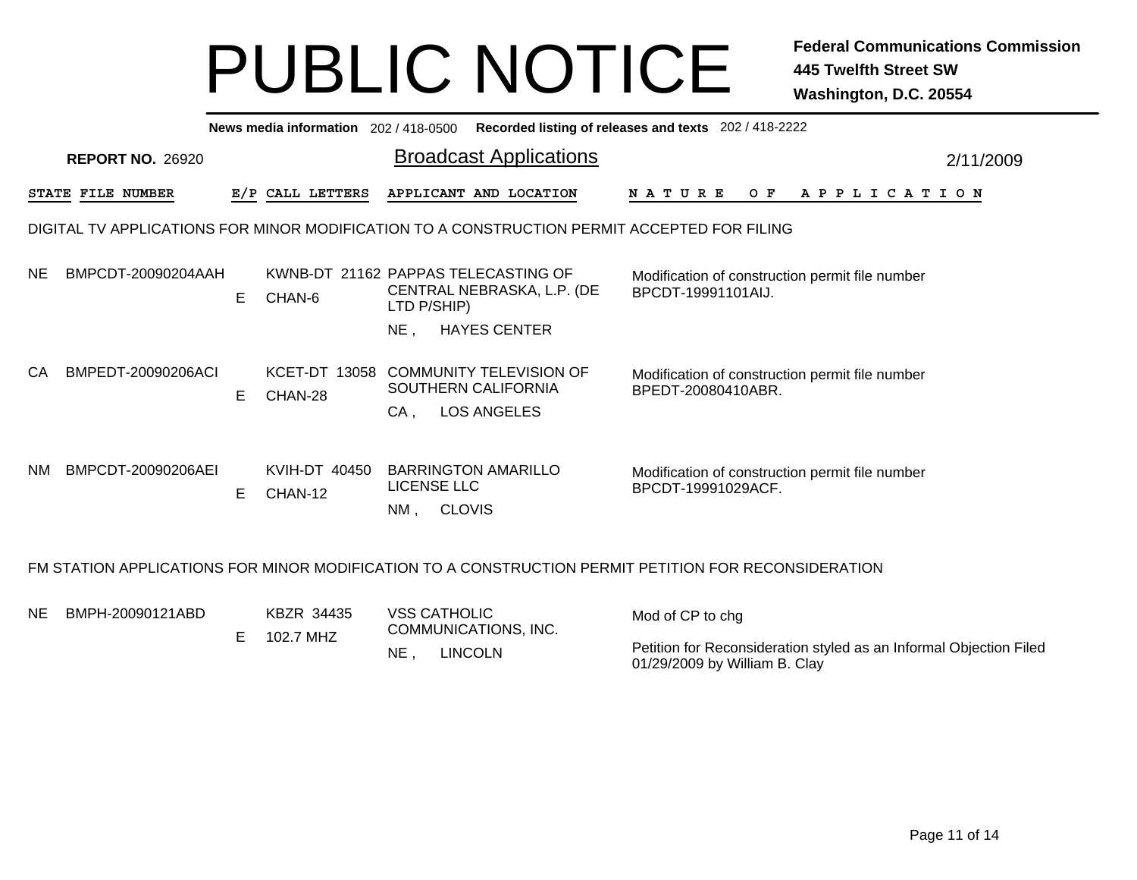| News media information 202/418-0500 Recorded listing of releases and texts 202/418-2222     |                         |    |                                 |                                                                                    |                                                                                                      |           |  |  |  |  |  |  |  |
|---------------------------------------------------------------------------------------------|-------------------------|----|---------------------------------|------------------------------------------------------------------------------------|------------------------------------------------------------------------------------------------------|-----------|--|--|--|--|--|--|--|
|                                                                                             | <b>REPORT NO. 26920</b> |    |                                 | <b>Broadcast Applications</b>                                                      |                                                                                                      | 2/11/2009 |  |  |  |  |  |  |  |
|                                                                                             | STATE FILE NUMBER       |    | E/P CALL LETTERS                | APPLICANT AND LOCATION                                                             | OF APPLICATION<br><b>NATURE</b>                                                                      |           |  |  |  |  |  |  |  |
| DIGITAL TV APPLICATIONS FOR MINOR MODIFICATION TO A CONSTRUCTION PERMIT ACCEPTED FOR FILING |                         |    |                                 |                                                                                    |                                                                                                      |           |  |  |  |  |  |  |  |
| NE.                                                                                         | BMPCDT-20090204AAH      | E. | CHAN-6                          | KWNB-DT 21162 PAPPAS TELECASTING OF<br>CENTRAL NEBRASKA, L.P. (DE<br>LTD P/SHIP)   | Modification of construction permit file number<br>BPCDT-19991101AIJ.                                |           |  |  |  |  |  |  |  |
|                                                                                             |                         |    |                                 | <b>HAYES CENTER</b><br>$NE$ ,                                                      |                                                                                                      |           |  |  |  |  |  |  |  |
| CA                                                                                          | BMPEDT-20090206ACI      | E. | <b>KCET-DT 13058</b><br>CHAN-28 | <b>COMMUNITY TELEVISION OF</b><br>SOUTHERN CALIFORNIA<br><b>LOS ANGELES</b><br>CA, | Modification of construction permit file number<br>BPEDT-20080410ABR.                                |           |  |  |  |  |  |  |  |
| <b>NM</b>                                                                                   | BMPCDT-20090206AEI      | E. | KVIH-DT 40450<br>CHAN-12        | <b>BARRINGTON AMARILLO</b><br><b>LICENSE LLC</b><br>NM,<br><b>CLOVIS</b>           | Modification of construction permit file number<br>BPCDT-19991029ACF.                                |           |  |  |  |  |  |  |  |
|                                                                                             |                         |    |                                 |                                                                                    | FM STATION APPLICATIONS FOR MINOR MODIFICATION TO A CONSTRUCTION PERMIT PETITION FOR RECONSIDERATION |           |  |  |  |  |  |  |  |
| NE.                                                                                         | BMPH-20090121ABD        | Е  | KBZR 34435<br>102.7 MHZ         | <b>VSS CATHOLIC</b><br>COMMUNICATIONS, INC.                                        | Mod of CP to chg                                                                                     |           |  |  |  |  |  |  |  |

NE , LINCOLN

01/29/2009 by William B. Clay

Petition for Reconsideration styled as an Informal Objection Filed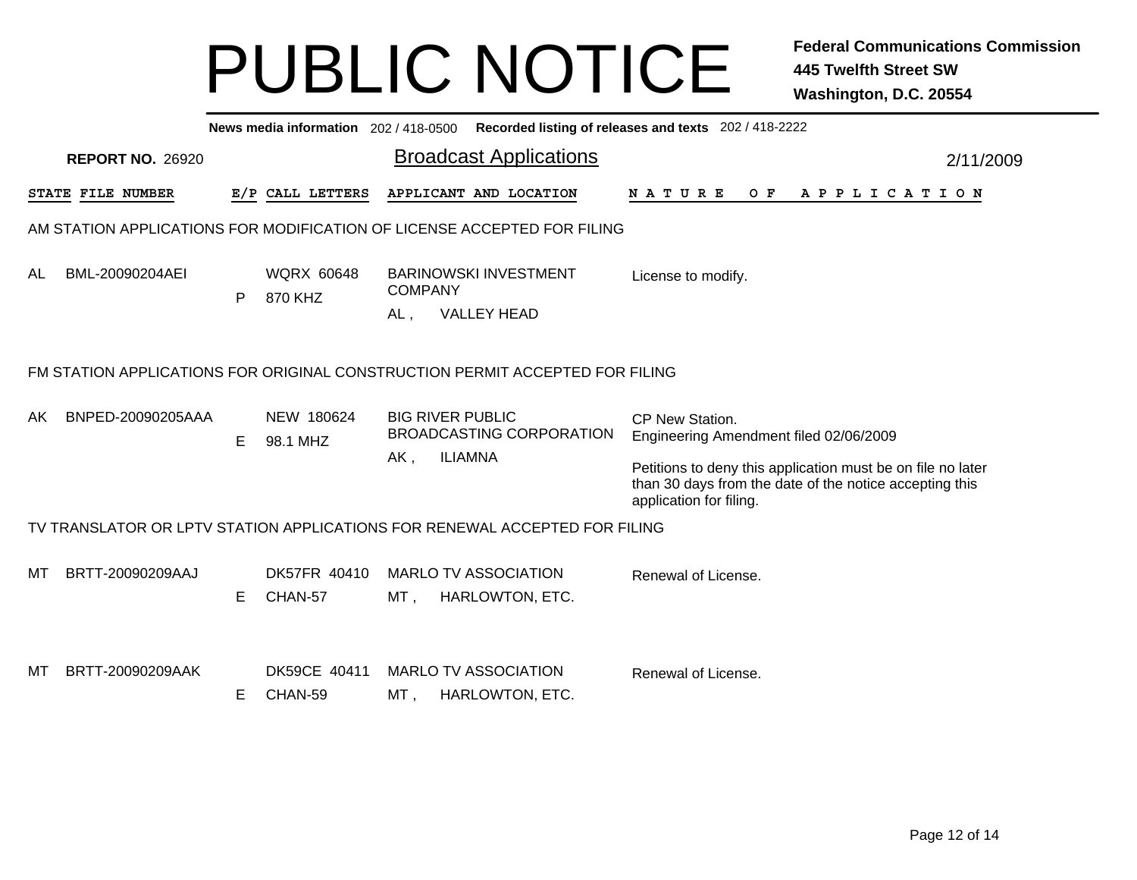| News media information 202 / 418-0500 Recorded listing of releases and texts 202 / 418-2222 |                         |    |                              |                       |                                                                       |                                                                                                                                                                                                                |           |  |  |
|---------------------------------------------------------------------------------------------|-------------------------|----|------------------------------|-----------------------|-----------------------------------------------------------------------|----------------------------------------------------------------------------------------------------------------------------------------------------------------------------------------------------------------|-----------|--|--|
|                                                                                             | <b>REPORT NO. 26920</b> |    |                              |                       | <b>Broadcast Applications</b>                                         |                                                                                                                                                                                                                | 2/11/2009 |  |  |
|                                                                                             | STATE FILE NUMBER       |    | E/P CALL LETTERS             |                       | APPLICANT AND LOCATION                                                | N A T U R E<br>O F<br>A P P L I C A T I O N                                                                                                                                                                    |           |  |  |
| AM STATION APPLICATIONS FOR MODIFICATION OF LICENSE ACCEPTED FOR FILING                     |                         |    |                              |                       |                                                                       |                                                                                                                                                                                                                |           |  |  |
| AL                                                                                          | BML-20090204AEI         | P  | <b>WQRX 60648</b><br>870 KHZ | <b>COMPANY</b><br>AL, | <b>BARINOWSKI INVESTMENT</b><br><b>VALLEY HEAD</b>                    | License to modify.                                                                                                                                                                                             |           |  |  |
| FM STATION APPLICATIONS FOR ORIGINAL CONSTRUCTION PERMIT ACCEPTED FOR FILING                |                         |    |                              |                       |                                                                       |                                                                                                                                                                                                                |           |  |  |
| AK                                                                                          | BNPED-20090205AAA       | Е  | NEW 180624<br>98.1 MHZ       | AK,                   | <b>BIG RIVER PUBLIC</b><br>BROADCASTING CORPORATION<br><b>ILIAMNA</b> | CP New Station.<br>Engineering Amendment filed 02/06/2009<br>Petitions to deny this application must be on file no later<br>than 30 days from the date of the notice accepting this<br>application for filing. |           |  |  |
| TV TRANSLATOR OR LPTV STATION APPLICATIONS FOR RENEWAL ACCEPTED FOR FILING                  |                         |    |                              |                       |                                                                       |                                                                                                                                                                                                                |           |  |  |
| МT                                                                                          | BRTT-20090209AAJ        | E. | DK57FR 40410<br>CHAN-57      | MT ,                  | <b>MARLO TV ASSOCIATION</b><br><b>HARLOWTON, ETC.</b>                 | Renewal of License.                                                                                                                                                                                            |           |  |  |
| МT                                                                                          | BRTT-20090209AAK        | Е  | DK59CE 40411<br>CHAN-59      | MT,                   | <b>MARLO TV ASSOCIATION</b><br><b>HARLOWTON, ETC.</b>                 | Renewal of License.                                                                                                                                                                                            |           |  |  |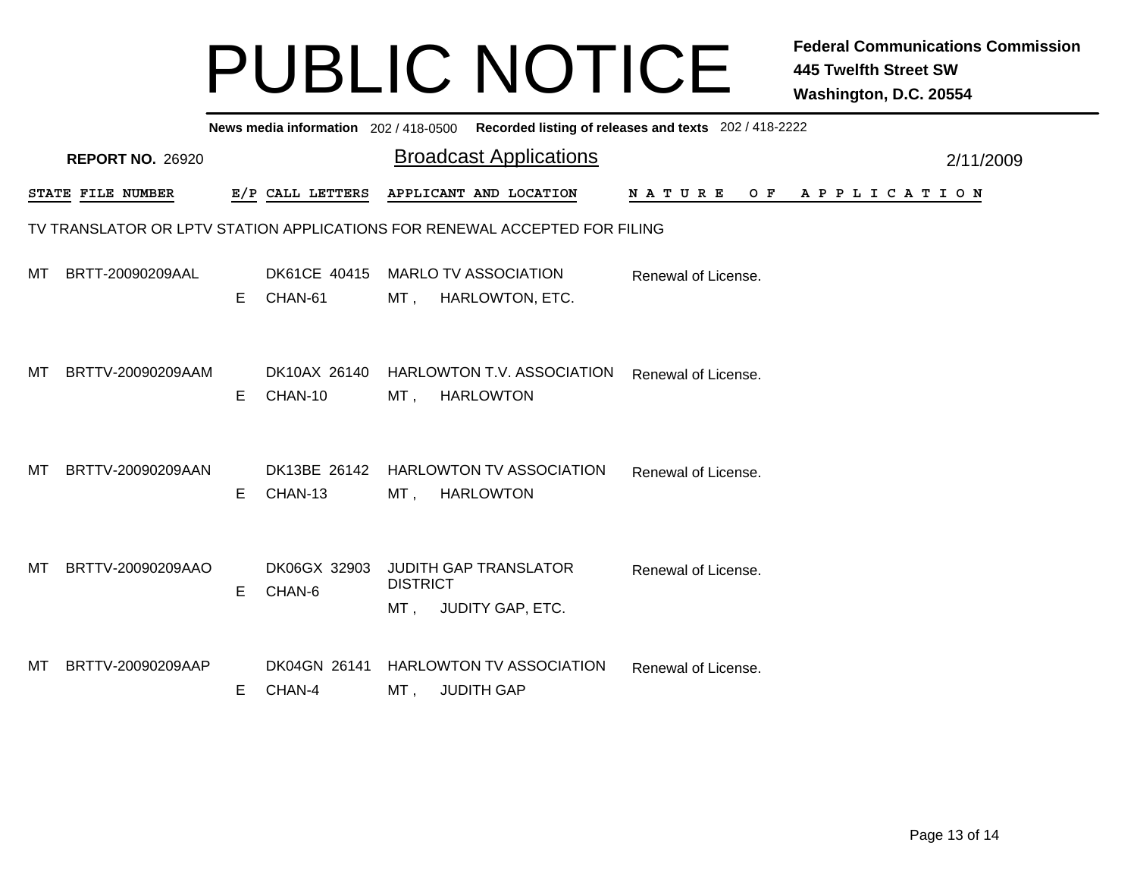| News media information 202 / 418-0500 Recorded listing of releases and texts 202 / 418-2222 |                         |   |                         |                        |                                                      |                     |                       |           |  |
|---------------------------------------------------------------------------------------------|-------------------------|---|-------------------------|------------------------|------------------------------------------------------|---------------------|-----------------------|-----------|--|
|                                                                                             | <b>REPORT NO. 26920</b> |   |                         |                        | <b>Broadcast Applications</b>                        |                     |                       | 2/11/2009 |  |
|                                                                                             | STATE FILE NUMBER       |   | E/P CALL LETTERS        |                        | APPLICANT AND LOCATION                               | N A T U R E<br>O F  | A P P L I C A T I O N |           |  |
| TV TRANSLATOR OR LPTV STATION APPLICATIONS FOR RENEWAL ACCEPTED FOR FILING                  |                         |   |                         |                        |                                                      |                     |                       |           |  |
| MT                                                                                          | BRTT-20090209AAL        | E | DK61CE 40415<br>CHAN-61 | MT ,                   | <b>MARLO TV ASSOCIATION</b><br>HARLOWTON, ETC.       | Renewal of License. |                       |           |  |
| МT                                                                                          | BRTTV-20090209AAM       | E | DK10AX 26140<br>CHAN-10 | MT .                   | HARLOWTON T.V. ASSOCIATION<br><b>HARLOWTON</b>       | Renewal of License. |                       |           |  |
| МT                                                                                          | BRTTV-20090209AAN       | Е | DK13BE 26142<br>CHAN-13 | MT ,                   | <b>HARLOWTON TV ASSOCIATION</b><br><b>HARLOWTON</b>  | Renewal of License. |                       |           |  |
| МT                                                                                          | BRTTV-20090209AAO       | Е | DK06GX 32903<br>CHAN-6  | <b>DISTRICT</b><br>MT, | <b>JUDITH GAP TRANSLATOR</b><br>JUDITY GAP, ETC.     | Renewal of License. |                       |           |  |
| МT                                                                                          | BRTTV-20090209AAP       | Е | DK04GN 26141<br>CHAN-4  | MT ,                   | <b>HARLOWTON TV ASSOCIATION</b><br><b>JUDITH GAP</b> | Renewal of License. |                       |           |  |